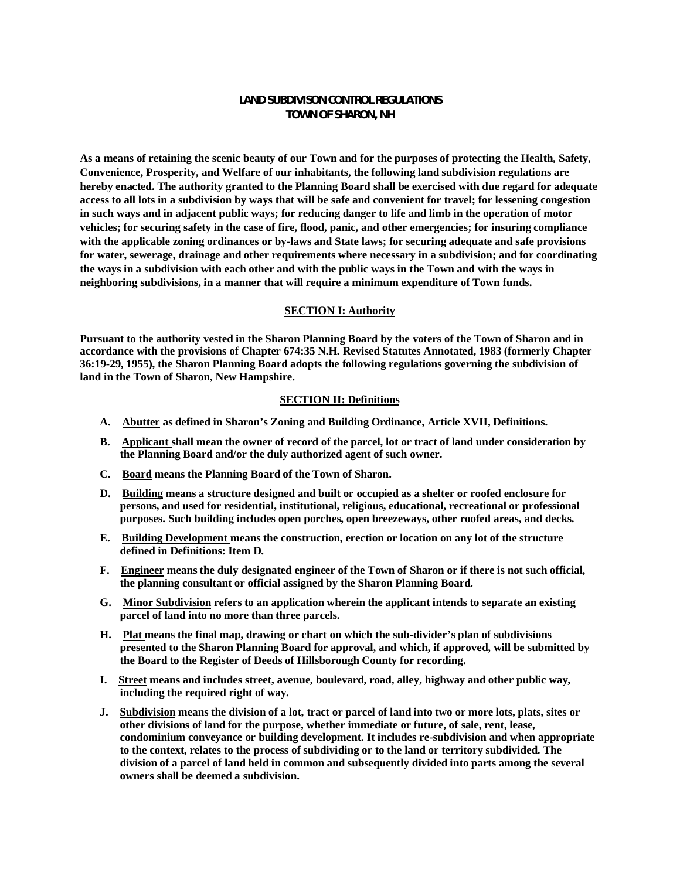# **LAND SUBDIVISON CONTROL REGULATIONS TOWN OF SHARON, NH**

**As a means of retaining the scenic beauty of our Town and for the purposes of protecting the Health, Safety, Convenience, Prosperity, and Welfare of our inhabitants, the following land subdivision regulations are hereby enacted. The authority granted to the Planning Board shall be exercised with due regard for adequate access to all lots in a subdivision by ways that will be safe and convenient for travel; for lessening congestion in such ways and in adjacent public ways; for reducing danger to life and limb in the operation of motor vehicles; for securing safety in the case of fire, flood, panic, and other emergencies; for insuring compliance with the applicable zoning ordinances or by-laws and State laws; for securing adequate and safe provisions for water, sewerage, drainage and other requirements where necessary in a subdivision; and for coordinating the ways in a subdivision with each other and with the public ways in the Town and with the ways in neighboring subdivisions, in a manner that will require a minimum expenditure of Town funds.**

#### **SECTION I: Authority**

**Pursuant to the authority vested in the Sharon Planning Board by the voters of the Town of Sharon and in accordance with the provisions of Chapter 674:35 N.H. Revised Statutes Annotated, 1983 (formerly Chapter 36:19-29, 1955), the Sharon Planning Board adopts the following regulations governing the subdivision of land in the Town of Sharon, New Hampshire.**

#### **SECTION II: Definitions**

- **A. Abutter as defined in Sharon's Zoning and Building Ordinance, Article XVII, Definitions.**
- **B. Applicant shall mean the owner of record of the parcel, lot or tract of land under consideration by the Planning Board and/or the duly authorized agent of such owner.**
- **C. Board means the Planning Board of the Town of Sharon.**
- **D. Building means a structure designed and built or occupied as a shelter or roofed enclosure for persons, and used for residential, institutional, religious, educational, recreational or professional purposes. Such building includes open porches, open breezeways, other roofed areas, and decks.**
- **E. Building Development means the construction, erection or location on any lot of the structure defined in Definitions: Item D.**
- **F. Engineer means the duly designated engineer of the Town of Sharon or if there is not such official, the planning consultant or official assigned by the Sharon Planning Board.**
- **G. Minor Subdivision refers to an application wherein the applicant intends to separate an existing parcel of land into no more than three parcels.**
- **H. Plat means the final map, drawing or chart on which the sub-divider's plan of subdivisions presented to the Sharon Planning Board for approval, and which, if approved, will be submitted by the Board to the Register of Deeds of Hillsborough County for recording.**
- **I. Street means and includes street, avenue, boulevard, road, alley, highway and other public way, including the required right of way.**
- **J. Subdivision means the division of a lot, tract or parcel of land into two or more lots, plats, sites or other divisions of land for the purpose, whether immediate or future, of sale, rent, lease, condominium conveyance or building development. It includes re-subdivision and when appropriate to the context, relates to the process of subdividing or to the land or territory subdivided. The division of a parcel of land held in common and subsequently divided into parts among the several owners shall be deemed a subdivision.**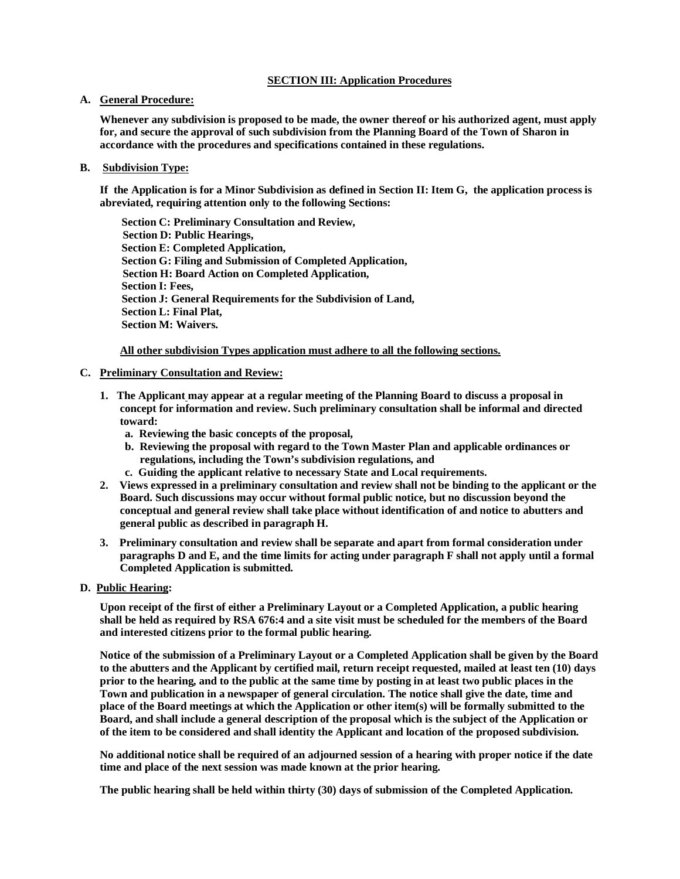### **SECTION III: Application Procedures**

#### **A. General Procedure:**

**Whenever any subdivision is proposed to be made, the owner thereof or his authorized agent, must apply for, and secure the approval of such subdivision from the Planning Board of the Town of Sharon in accordance with the procedures and specifications contained in these regulations.**

### **B. Subdivision Type:**

**If the Application is for a Minor Subdivision as defined in Section II: Item G, the application process is abreviated, requiring attention only to the following Sections:**

 **Section C: Preliminary Consultation and Review, Section D: Public Hearings, Section E: Completed Application, Section G: Filing and Submission of Completed Application, Section H: Board Action on Completed Application, Section I: Fees, Section J: General Requirements for the Subdivision of Land, Section L: Final Plat, Section M: Waivers.**

**All other subdivision Types application must adhere to all the following sections.**

### **C. Preliminary Consultation and Review:**

- **1. The Applicant may appear at a regular meeting of the Planning Board to discuss a proposal in concept for information and review. Such preliminary consultation shall be informal and directed toward:**
	- **a. Reviewing the basic concepts of the proposal,**
	- **b. Reviewing the proposal with regard to the Town Master Plan and applicable ordinances or regulations, including the Town's subdivision regulations, and**
	- **c. Guiding the applicant relative to necessary State and Local requirements.**
- **2. Views expressed in a preliminary consultation and review shall not be binding to the applicant or the Board. Such discussions may occur without formal public notice, but no discussion beyond the conceptual and general review shall take place without identification of and notice to abutters and general public as described in paragraph H.**
- **3. Preliminary consultation and review shall be separate and apart from formal consideration under paragraphs D and E, and the time limits for acting under paragraph F shall not apply until a formal Completed Application is submitted.**
- **D. Public Hearing:**

**Upon receipt of the first of either a Preliminary Layout or a Completed Application, a public hearing shall be held as required by RSA 676:4 and a site visit must be scheduled for the members of the Board and interested citizens prior to the formal public hearing.**

**Notice of the submission of a Preliminary Layout or a Completed Application shall be given by the Board to the abutters and the Applicant by certified mail, return receipt requested, mailed at least ten (10) days prior to the hearing, and to the public at the same time by posting in at least two public places in the Town and publication in a newspaper of general circulation. The notice shall give the date, time and place of the Board meetings at which the Application or other item(s) will be formally submitted to the Board, and shall include a general description of the proposal which is the subject of the Application or of the item to be considered and shall identity the Applicant and location of the proposed subdivision.**

**No additional notice shall be required of an adjourned session of a hearing with proper notice if the date time and place of the next session was made known at the prior hearing.**

**The public hearing shall be held within thirty (30) days of submission of the Completed Application.**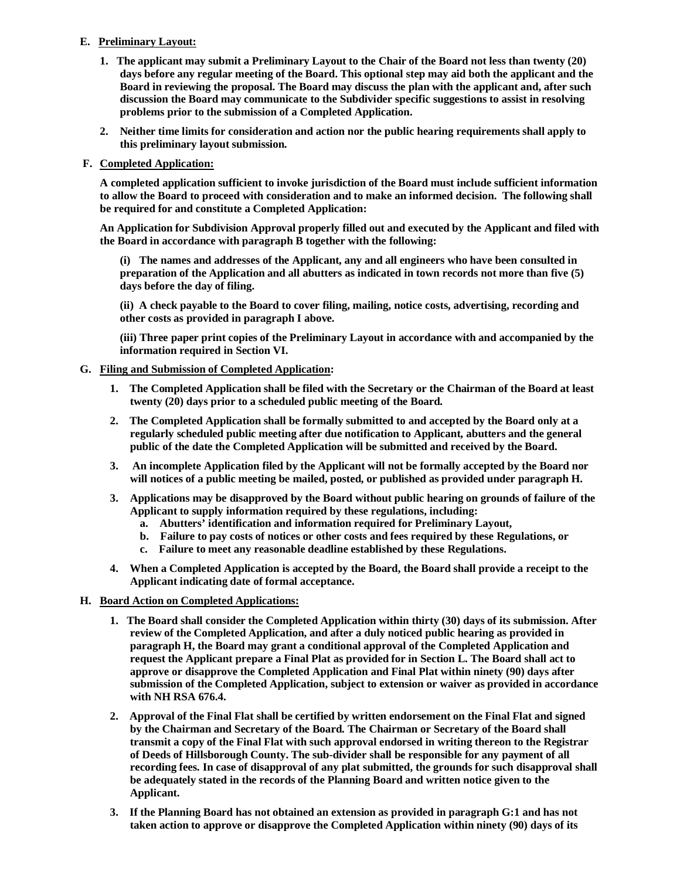# **E. Preliminary Layout:**

- **1. The applicant may submit a Preliminary Layout to the Chair of the Board not less than twenty (20) days before any regular meeting of the Board. This optional step may aid both the applicant and the Board in reviewing the proposal. The Board may discuss the plan with the applicant and, after such discussion the Board may communicate to the Subdivider specific suggestions to assist in resolving problems prior to the submission of a Completed Application.**
- **2. Neither time limits for consideration and action nor the public hearing requirements shall apply to this preliminary layout submission.**

## **F. Completed Application:**

**A completed application sufficient to invoke jurisdiction of the Board must include sufficient information to allow the Board to proceed with consideration and to make an informed decision. The following shall be required for and constitute a Completed Application:**

**An Application for Subdivision Approval properly filled out and executed by the Applicant and filed with the Board in accordance with paragraph B together with the following:**

**(i) The names and addresses of the Applicant, any and all engineers who have been consulted in preparation of the Application and all abutters as indicated in town records not more than five (5) days before the day of filing.**

**(ii) A check payable to the Board to cover filing, mailing, notice costs, advertising, recording and other costs as provided in paragraph I above.**

**(iii) Three paper print copies of the Preliminary Layout in accordance with and accompanied by the information required in Section VI.**

## **G. Filing and Submission of Completed Application:**

- **1. The Completed Application shall be filed with the Secretary or the Chairman of the Board at least twenty (20) days prior to a scheduled public meeting of the Board.**
- **2. The Completed Application shall be formally submitted to and accepted by the Board only at a regularly scheduled public meeting after due notification to Applicant, abutters and the general public of the date the Completed Application will be submitted and received by the Board.**
- **3. An incomplete Application filed by the Applicant will not be formally accepted by the Board nor will notices of a public meeting be mailed, posted, or published as provided under paragraph H.**
- **3. Applications may be disapproved by the Board without public hearing on grounds of failure of the Applicant to supply information required by these regulations, including:**
	- **a. Abutters' identification and information required for Preliminary Layout,**
	- **b. Failure to pay costs of notices or other costs and fees required by these Regulations, or**
	- **c. Failure to meet any reasonable deadline established by these Regulations.**
- **4. When a Completed Application is accepted by the Board, the Board shall provide a receipt to the Applicant indicating date of formal acceptance.**

## **H. Board Action on Completed Applications:**

- **1. The Board shall consider the Completed Application within thirty (30) days of its submission. After review of the Completed Application, and after a duly noticed public hearing as provided in paragraph H, the Board may grant a conditional approval of the Completed Application and request the Applicant prepare a Final Plat as provided for in Section L. The Board shall act to approve or disapprove the Completed Application and Final Plat within ninety (90) days after submission of the Completed Application, subject to extension or waiver as provided in accordance with NH RSA 676.4.**
- **2. Approval of the Final Flat shall be certified by written endorsement on the Final Flat and signed by the Chairman and Secretary of the Board. The Chairman or Secretary of the Board shall transmit a copy of the Final Flat with such approval endorsed in writing thereon to the Registrar of Deeds of Hillsborough County. The sub-divider shall be responsible for any payment of all recording fees. In case of disapproval of any plat submitted, the grounds for such disapproval shall be adequately stated in the records of the Planning Board and written notice given to the Applicant.**
- **3. If the Planning Board has not obtained an extension as provided in paragraph G:1 and has not taken action to approve or disapprove the Completed Application within ninety (90) days of its**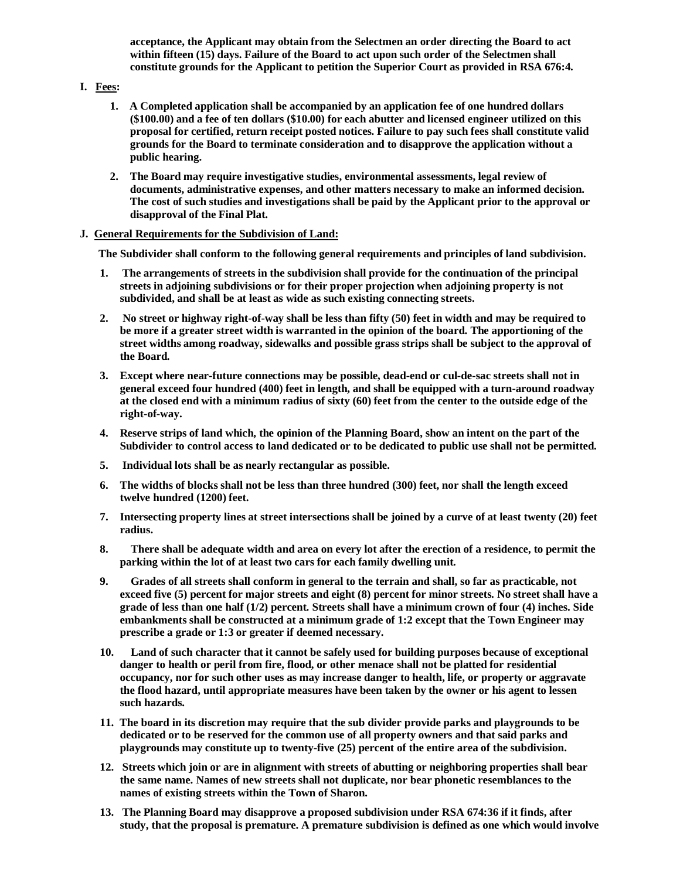**acceptance, the Applicant may obtain from the Selectmen an order directing the Board to act within fifteen (15) days. Failure of the Board to act upon such order of the Selectmen shall constitute grounds for the Applicant to petition the Superior Court as provided in RSA 676:4.**

## **I. Fees:**

- **1. A Completed application shall be accompanied by an application fee of one hundred dollars (\$100.00) and a fee of ten dollars (\$10.00) for each abutter and licensed engineer utilized on this proposal for certified, return receipt posted notices. Failure to pay such fees shall constitute valid grounds for the Board to terminate consideration and to disapprove the application without a public hearing.**
- **2. The Board may require investigative studies, environmental assessments, legal review of documents, administrative expenses, and other matters necessary to make an informed decision. The cost of such studies and investigations shall be paid by the Applicant prior to the approval or disapproval of the Final Plat.**

## **J. General Requirements for the Subdivision of Land:**

**The Subdivider shall conform to the following general requirements and principles of land subdivision.**

- **1. The arrangements of streets in the subdivision shall provide for the continuation of the principal streets in adjoining subdivisions or for their proper projection when adjoining property is not subdivided, and shall be at least as wide as such existing connecting streets.**
- **2. No street or highway right-of-way shall be less than fifty (50) feet in width and may be required to be more if a greater street width is warranted in the opinion of the board. The apportioning of the street widths among roadway, sidewalks and possible grass strips shall be subject to the approval of the Board.**
- **3. Except where near-future connections may be possible, dead-end or cul-de-sac streets shall not in general exceed four hundred (400) feet in length, and shall be equipped with a turn-around roadway at the closed end with a minimum radius of sixty (60) feet from the center to the outside edge of the right-of-way.**
- **4. Reserve strips of land which, the opinion of the Planning Board, show an intent on the part of the Subdivider to control access to land dedicated or to be dedicated to public use shall not be permitted.**
- **5. Individual lots shall be as nearly rectangular as possible.**
- **6. The widths of blocks shall not be less than three hundred (300) feet, nor shall the length exceed twelve hundred (1200) feet.**
- **7. Intersecting property lines at street intersections shall be joined by a curve of at least twenty (20) feet radius.**
- **8. There shall be adequate width and area on every lot after the erection of a residence, to permit the parking within the lot of at least two cars for each family dwelling unit.**
- **9. Grades of all streets shall conform in general to the terrain and shall, so far as practicable, not exceed five (5) percent for major streets and eight (8) percent for minor streets. No street shall have a grade of less than one half (1/2) percent. Streets shall have a minimum crown of four (4) inches. Side embankments shall be constructed at a minimum grade of 1:2 except that the Town Engineer may prescribe a grade or 1:3 or greater if deemed necessary.**
- **10. Land of such character that it cannot be safely used for building purposes because of exceptional danger to health or peril from fire, flood, or other menace shall not be platted for residential occupancy, nor for such other uses as may increase danger to health, life, or property or aggravate the flood hazard, until appropriate measures have been taken by the owner or his agent to lessen such hazards.**
- **11. The board in its discretion may require that the sub divider provide parks and playgrounds to be dedicated or to be reserved for the common use of all property owners and that said parks and playgrounds may constitute up to twenty-five (25) percent of the entire area of the subdivision.**
- **12. Streets which join or are in alignment with streets of abutting or neighboring properties shall bear the same name. Names of new streets shall not duplicate, nor bear phonetic resemblances to the names of existing streets within the Town of Sharon.**
- **13. The Planning Board may disapprove a proposed subdivision under RSA 674:36 if it finds, after study, that the proposal is premature. A premature subdivision is defined as one which would involve**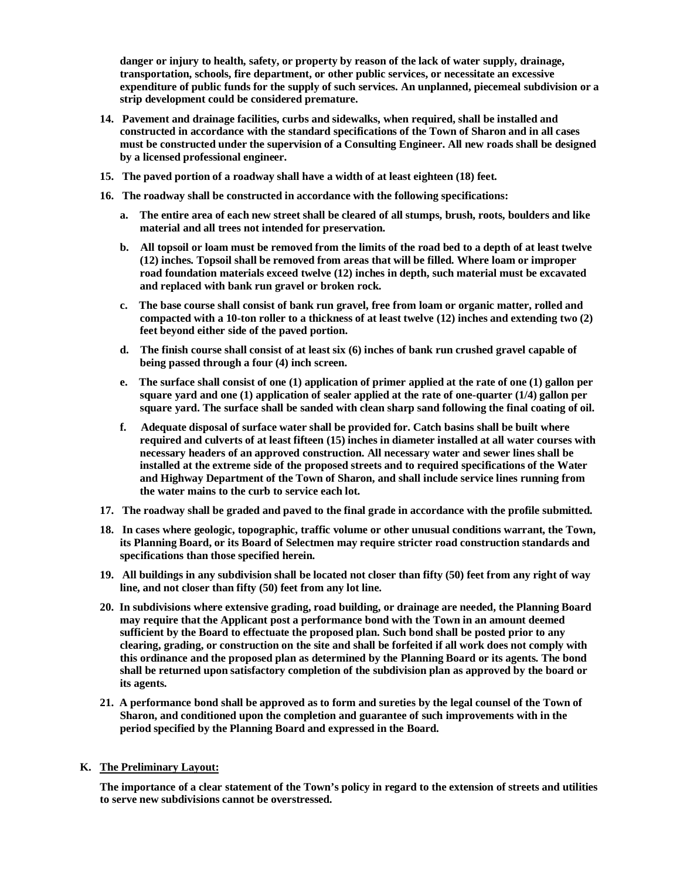**danger or injury to health, safety, or property by reason of the lack of water supply, drainage, transportation, schools, fire department, or other public services, or necessitate an excessive expenditure of public funds for the supply of such services. An unplanned, piecemeal subdivision or a strip development could be considered premature.**

- **14. Pavement and drainage facilities, curbs and sidewalks, when required, shall be installed and constructed in accordance with the standard specifications of the Town of Sharon and in all cases must be constructed under the supervision of a Consulting Engineer. All new roads shall be designed by a licensed professional engineer.**
- **15. The paved portion of a roadway shall have a width of at least eighteen (18) feet.**
- **16. The roadway shall be constructed in accordance with the following specifications:**
	- **a. The entire area of each new street shall be cleared of all stumps, brush, roots, boulders and like material and all trees not intended for preservation.**
	- **b. All topsoil or loam must be removed from the limits of the road bed to a depth of at least twelve (12) inches. Topsoil shall be removed from areas that will be filled. Where loam or improper road foundation materials exceed twelve (12) inches in depth, such material must be excavated and replaced with bank run gravel or broken rock.**
	- **c. The base course shall consist of bank run gravel, free from loam or organic matter, rolled and compacted with a 10-ton roller to a thickness of at least twelve (12) inches and extending two (2) feet beyond either side of the paved portion.**
	- **d. The finish course shall consist of at least six (6) inches of bank run crushed gravel capable of being passed through a four (4) inch screen.**
	- **e. The surface shall consist of one (1) application of primer applied at the rate of one (1) gallon per square yard and one (1) application of sealer applied at the rate of one-quarter (1/4) gallon per square yard. The surface shall be sanded with clean sharp sand following the final coating of oil.**
	- **f. Adequate disposal of surface water shall be provided for. Catch basins shall be built where required and culverts of at least fifteen (15) inches in diameter installed at all water courses with necessary headers of an approved construction. All necessary water and sewer lines shall be installed at the extreme side of the proposed streets and to required specifications of the Water and Highway Department of the Town of Sharon, and shall include service lines running from the water mains to the curb to service each lot.**
- **17. The roadway shall be graded and paved to the final grade in accordance with the profile submitted.**
- **18. In cases where geologic, topographic, traffic volume or other unusual conditions warrant, the Town, its Planning Board, or its Board of Selectmen may require stricter road construction standards and specifications than those specified herein.**
- **19. All buildings in any subdivision shall be located not closer than fifty (50) feet from any right of way line, and not closer than fifty (50) feet from any lot line.**
- **20. In subdivisions where extensive grading, road building, or drainage are needed, the Planning Board may require that the Applicant post a performance bond with the Town in an amount deemed sufficient by the Board to effectuate the proposed plan. Such bond shall be posted prior to any clearing, grading, or construction on the site and shall be forfeited if all work does not comply with this ordinance and the proposed plan as determined by the Planning Board or its agents. The bond shall be returned upon satisfactory completion of the subdivision plan as approved by the board or its agents.**
- **21. A performance bond shall be approved as to form and sureties by the legal counsel of the Town of Sharon, and conditioned upon the completion and guarantee of such improvements with in the period specified by the Planning Board and expressed in the Board.**

#### **K. The Preliminary Layout:**

**The importance of a clear statement of the Town's policy in regard to the extension of streets and utilities to serve new subdivisions cannot be overstressed.**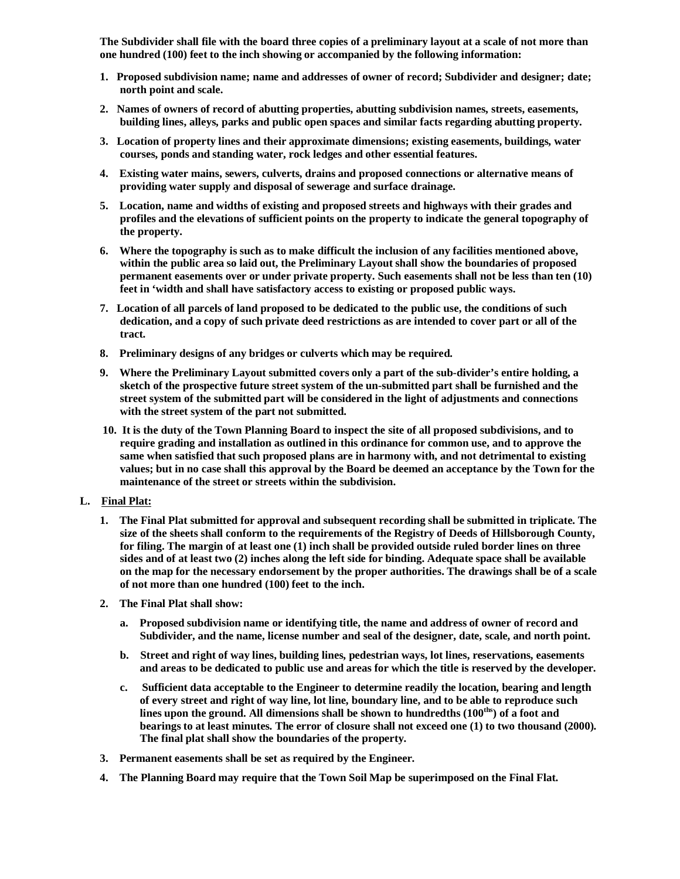**The Subdivider shall file with the board three copies of a preliminary layout at a scale of not more than one hundred (100) feet to the inch showing or accompanied by the following information:**

- **1. Proposed subdivision name; name and addresses of owner of record; Subdivider and designer; date; north point and scale.**
- **2. Names of owners of record of abutting properties, abutting subdivision names, streets, easements, building lines, alleys, parks and public open spaces and similar facts regarding abutting property.**
- **3. Location of property lines and their approximate dimensions; existing easements, buildings, water courses, ponds and standing water, rock ledges and other essential features.**
- **4. Existing water mains, sewers, culverts, drains and proposed connections or alternative means of providing water supply and disposal of sewerage and surface drainage.**
- **5. Location, name and widths of existing and proposed streets and highways with their grades and profiles and the elevations of sufficient points on the property to indicate the general topography of the property.**
- **6. Where the topography is such as to make difficult the inclusion of any facilities mentioned above, within the public area so laid out, the Preliminary Layout shall show the boundaries of proposed permanent easements over or under private property. Such easements shall not be less than ten (10) feet in 'width and shall have satisfactory access to existing or proposed public ways.**
- **7. Location of all parcels of land proposed to be dedicated to the public use, the conditions of such dedication, and a copy of such private deed restrictions as are intended to cover part or all of the tract.**
- **8. Preliminary designs of any bridges or culverts which may be required.**
- **9. Where the Preliminary Layout submitted covers only a part of the sub-divider's entire holding, a sketch of the prospective future street system of the un-submitted part shall be furnished and the street system of the submitted part will be considered in the light of adjustments and connections with the street system of the part not submitted.**
- **10. It is the duty of the Town Planning Board to inspect the site of all proposed subdivisions, and to require grading and installation as outlined in this ordinance for common use, and to approve the same when satisfied that such proposed plans are in harmony with, and not detrimental to existing values; but in no case shall this approval by the Board be deemed an acceptance by the Town for the maintenance of the street or streets within the subdivision.**

## **L. Final Plat:**

- **1. The Final Plat submitted for approval and subsequent recording shall be submitted in triplicate. The size of the sheets shall conform to the requirements of the Registry of Deeds of Hillsborough County, for filing. The margin of at least one (1) inch shall be provided outside ruled border lines on three sides and of at least two (2) inches along the left side for binding. Adequate space shall be available on the map for the necessary endorsement by the proper authorities. The drawings shall be of a scale of not more than one hundred (100) feet to the inch.**
- **2. The Final Plat shall show:**
	- **a. Proposed subdivision name or identifying title, the name and address of owner of record and Subdivider, and the name, license number and seal of the designer, date, scale, and north point.**
	- **b. Street and right of way lines, building lines, pedestrian ways, lot lines, reservations, easements and areas to be dedicated to public use and areas for which the title is reserved by the developer.**
	- **c. Sufficient data acceptable to the Engineer to determine readily the location, bearing and length of every street and right of way line, lot line, boundary line, and to be able to reproduce such lines upon the ground. All dimensions shall be shown to hundredths (100ths) of a foot and bearings to at least minutes. The error of closure shall not exceed one (1) to two thousand (2000). The final plat shall show the boundaries of the property.**
- **3. Permanent easements shall be set as required by the Engineer.**
- **4. The Planning Board may require that the Town Soil Map be superimposed on the Final Flat.**